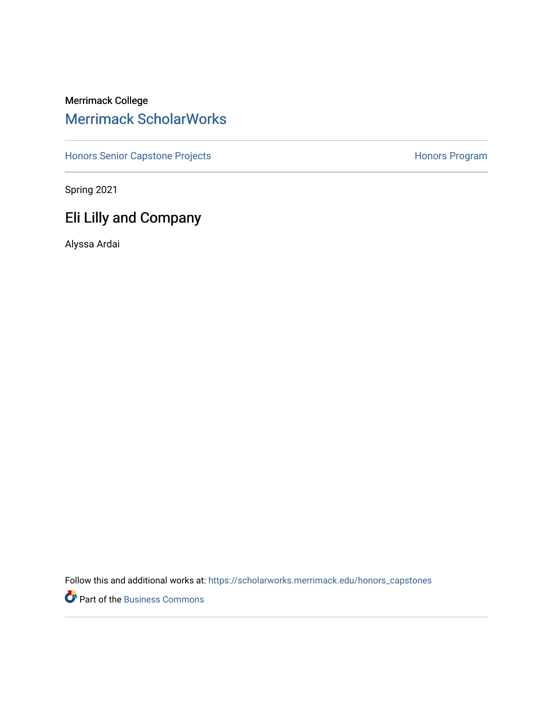## Merrimack College [Merrimack ScholarWorks](https://scholarworks.merrimack.edu/)

[Honors Senior Capstone Projects](https://scholarworks.merrimack.edu/honors_capstones) **Honors Program** Honors Program

Spring 2021

# Eli Lilly and Company

Alyssa Ardai

Follow this and additional works at: [https://scholarworks.merrimack.edu/honors\\_capstones](https://scholarworks.merrimack.edu/honors_capstones?utm_source=scholarworks.merrimack.edu%2Fhonors_capstones%2F57&utm_medium=PDF&utm_campaign=PDFCoverPages)

Part of the [Business Commons](http://network.bepress.com/hgg/discipline/622?utm_source=scholarworks.merrimack.edu%2Fhonors_capstones%2F57&utm_medium=PDF&utm_campaign=PDFCoverPages)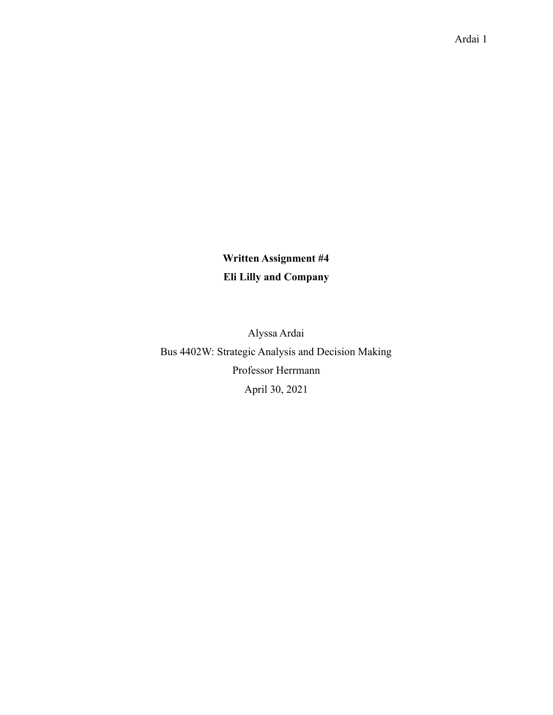### **Written Assignment #4 Eli Lilly and Company**

Alyssa Ardai Bus 4402W: Strategic Analysis and Decision Making Professor Herrmann April 30, 2021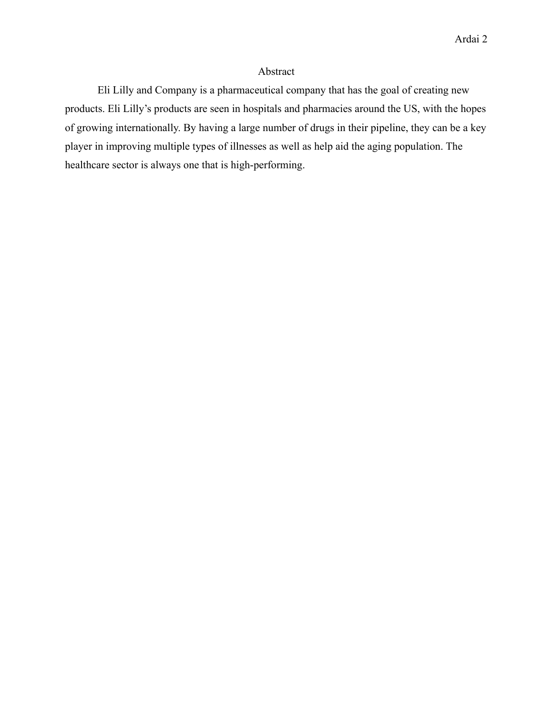#### Abstract

Eli Lilly and Company is a pharmaceutical company that has the goal of creating new products. Eli Lilly's products are seen in hospitals and pharmacies around the US, with the hopes of growing internationally. By having a large number of drugs in their pipeline, they can be a key player in improving multiple types of illnesses as well as help aid the aging population. The healthcare sector is always one that is high-performing.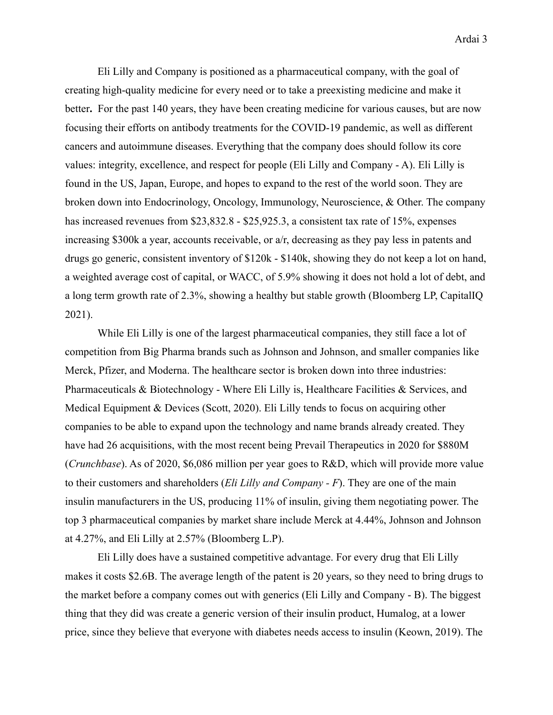Eli Lilly and Company is positioned as a pharmaceutical company, with the goal of creating high-quality medicine for every need or to take a preexisting medicine and make it better**.** For the past 140 years, they have been creating medicine for various causes, but are now focusing their efforts on antibody treatments for the COVID-19 pandemic, as well as different cancers and autoimmune diseases. Everything that the company does should follow its core values: integrity, excellence, and respect for people (Eli Lilly and Company - A). Eli Lilly is found in the US, Japan, Europe, and hopes to expand to the rest of the world soon. They are broken down into Endocrinology, Oncology, Immunology, Neuroscience, & Other. The company has increased revenues from \$23,832.8 - \$25,925.3, a consistent tax rate of 15%, expenses increasing \$300k a year, accounts receivable, or a/r, decreasing as they pay less in patents and drugs go generic, consistent inventory of \$120k - \$140k, showing they do not keep a lot on hand, a weighted average cost of capital, or WACC, of 5.9% showing it does not hold a lot of debt, and a long term growth rate of 2.3%, showing a healthy but stable growth (Bloomberg LP, CapitalIQ 2021).

While Eli Lilly is one of the largest pharmaceutical companies, they still face a lot of competition from Big Pharma brands such as Johnson and Johnson, and smaller companies like Merck, Pfizer, and Moderna. The healthcare sector is broken down into three industries: Pharmaceuticals & Biotechnology - Where Eli Lilly is, Healthcare Facilities & Services, and Medical Equipment & Devices (Scott, 2020). Eli Lilly tends to focus on acquiring other companies to be able to expand upon the technology and name brands already created. They have had 26 acquisitions, with the most recent being Prevail Therapeutics in 2020 for \$880M (*Crunchbase*). As of 2020, \$6,086 million per year goes to R&D, which will provide more value to their customers and shareholders (*Eli Lilly and Company - F*). They are one of the main insulin manufacturers in the US, producing 11% of insulin, giving them negotiating power. The top 3 pharmaceutical companies by market share include Merck at 4.44%, Johnson and Johnson at 4.27%, and Eli Lilly at 2.57% (Bloomberg L.P).

Eli Lilly does have a sustained competitive advantage. For every drug that Eli Lilly makes it costs \$2.6B. The average length of the patent is 20 years, so they need to bring drugs to the market before a company comes out with generics (Eli Lilly and Company - B). The biggest thing that they did was create a generic version of their insulin product, Humalog, at a lower price, since they believe that everyone with diabetes needs access to insulin (Keown, 2019). The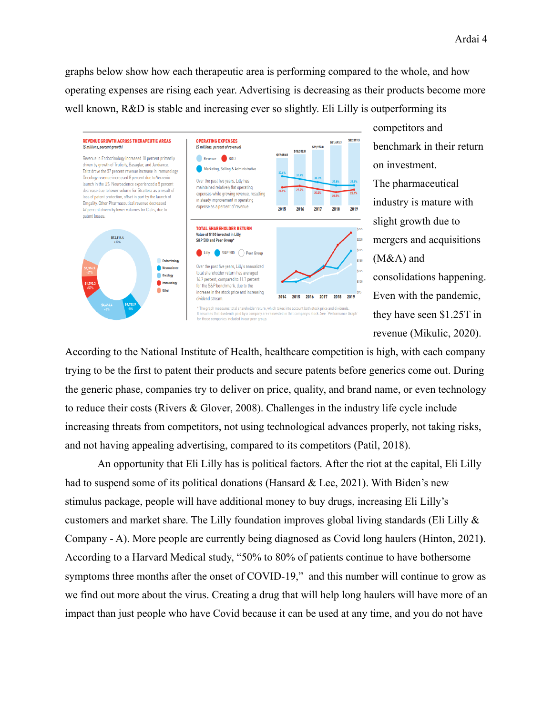graphs below show how each therapeutic area is performing compared to the whole, and how operating expenses are rising each year. Advertising is decreasing as their products become more well known, R&D is stable and increasing ever so slightly. Eli Lilly is outperforming its



competitors and benchmark in their return on investment. The pharmaceutical industry is mature with slight growth due to mergers and acquisitions (M&A) and consolidations happening. Even with the pandemic, they have seen \$1.25T in revenue (Mikulic, 2020).

According to the National Institute of Health, healthcare competition is high, with each company trying to be the first to patent their products and secure patents before generics come out. During the generic phase, companies try to deliver on price, quality, and brand name, or even technology to reduce their costs (Rivers & Glover, 2008). Challenges in the industry life cycle include increasing threats from competitors, not using technological advances properly, not taking risks, and not having appealing advertising, compared to its competitors (Patil, 2018).

An opportunity that Eli Lilly has is political factors. After the riot at the capital, Eli Lilly had to suspend some of its political donations (Hansard & Lee, 2021). With Biden's new stimulus package, people will have additional money to buy drugs, increasing Eli Lilly's customers and market share. The Lilly foundation improves global living standards (Eli Lilly & Company - A). More people are currently being diagnosed as Covid long haulers (Hinton, 2021**)**. According to a Harvard Medical study, "50% to 80% of patients continue to have bothersome symptoms three months after the onset of COVID-19," and this number will continue to grow as we find out more about the virus. Creating a drug that will help long haulers will have more of an impact than just people who have Covid because it can be used at any time, and you do not have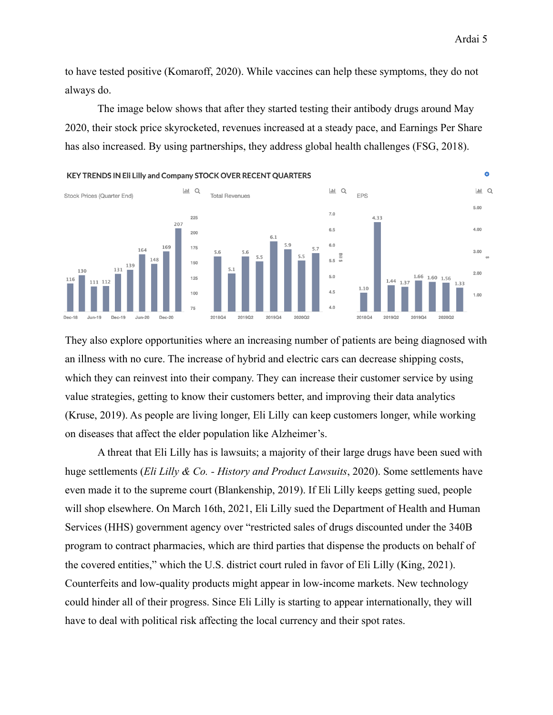to have tested positive (Komaroff, 2020). While vaccines can help these symptoms, they do not always do.

The image below shows that after they started testing their antibody drugs around May 2020, their stock price skyrocketed, revenues increased at a steady pace, and Earnings Per Share has also increased. By using partnerships, they address global health challenges (FSG, 2018).



They also explore opportunities where an increasing number of patients are being diagnosed with an illness with no cure. The increase of hybrid and electric cars can decrease shipping costs, which they can reinvest into their company. They can increase their customer service by using value strategies, getting to know their customers better, and improving their data analytics (Kruse, 2019). As people are living longer, Eli Lilly can keep customers longer, while working on diseases that affect the elder population like Alzheimer's.

A threat that Eli Lilly has is lawsuits; a majority of their large drugs have been sued with huge settlements (*Eli Lilly & Co. - History and Product Lawsuits*, 2020). Some settlements have even made it to the supreme court (Blankenship, 2019). If Eli Lilly keeps getting sued, people will shop elsewhere. On March 16th, 2021, Eli Lilly sued the Department of Health and Human Services (HHS) government agency over "restricted sales of drugs discounted under the 340B program to contract pharmacies, which are third parties that dispense the products on behalf of the covered entities," which the U.S. district court ruled in favor of Eli Lilly (King, 2021). Counterfeits and low-quality products might appear in low-income markets. New technology could hinder all of their progress. Since Eli Lilly is starting to appear internationally, they will have to deal with political risk affecting the local currency and their spot rates.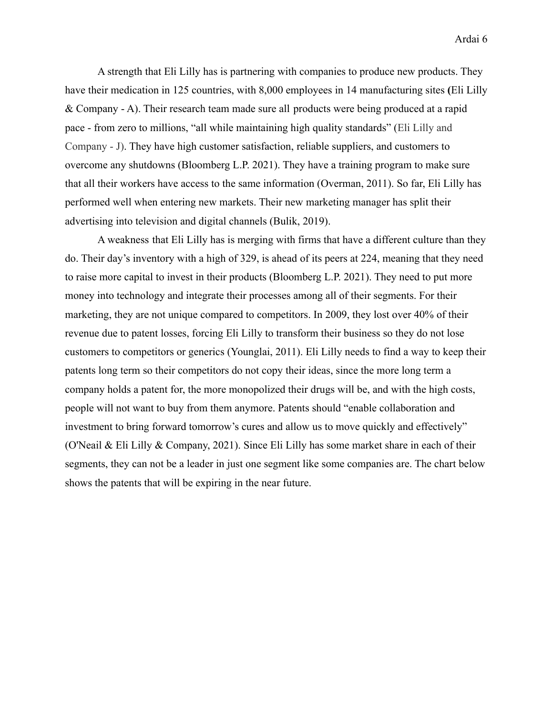A strength that Eli Lilly has is partnering with companies to produce new products. They have their medication in 125 countries, with 8,000 employees in 14 manufacturing sites **(**Eli Lilly & Company - A). Their research team made sure all products were being produced at a rapid pace - from zero to millions, "all while maintaining high quality standards" (Eli Lilly and Company - J). They have high customer satisfaction, reliable suppliers, and customers to overcome any shutdowns (Bloomberg L.P. 2021). They have a training program to make sure that all their workers have access to the same information (Overman, 2011). So far, Eli Lilly has performed well when entering new markets. Their new marketing manager has split their advertising into television and digital channels (Bulik, 2019).

A weakness that Eli Lilly has is merging with firms that have a different culture than they do. Their day's inventory with a high of 329, is ahead of its peers at 224, meaning that they need to raise more capital to invest in their products (Bloomberg L.P. 2021). They need to put more money into technology and integrate their processes among all of their segments. For their marketing, they are not unique compared to competitors. In 2009, they lost over 40% of their revenue due to patent losses, forcing Eli Lilly to transform their business so they do not lose customers to competitors or generics (Younglai, 2011). Eli Lilly needs to find a way to keep their patents long term so their competitors do not copy their ideas, since the more long term a company holds a patent for, the more monopolized their drugs will be, and with the high costs, people will not want to buy from them anymore. Patents should "enable collaboration and investment to bring forward tomorrow's cures and allow us to move quickly and effectively" (O'Neail & Eli Lilly & Company, 2021). Since Eli Lilly has some market share in each of their segments, they can not be a leader in just one segment like some companies are. The chart below shows the patents that will be expiring in the near future.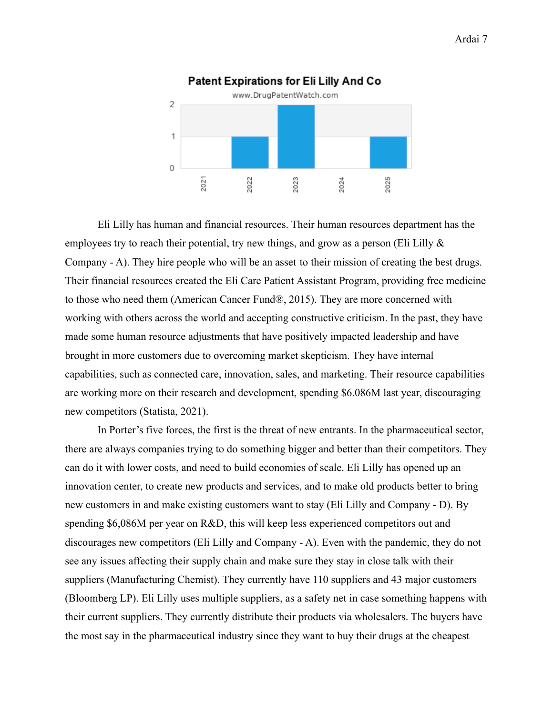

Eli Lilly has human and financial resources. Their human resources department has the employees try to reach their potential, try new things, and grow as a person (Eli Lilly  $\&$ Company - A). They hire people who will be an asset to their mission of creating the best drugs. Their financial resources created the Eli Care Patient Assistant Program, providing free medicine to those who need them (American Cancer Fund®, 2015). They are more concerned with working with others across the world and accepting constructive criticism. In the past, they have made some human resource adjustments that have positively impacted leadership and have brought in more customers due to overcoming market skepticism. They have internal capabilities, such as connected care, innovation, sales, and marketing. Their resource capabilities are working more on their research and development, spending \$6.086M last year, discouraging new competitors (Statista, 2021).

In Porter's five forces, the first is the threat of new entrants. In the pharmaceutical sector, there are always companies trying to do something bigger and better than their competitors. They can do it with lower costs, and need to build economies of scale. Eli Lilly has opened up an innovation center, to create new products and services, and to make old products better to bring new customers in and make existing customers want to stay (Eli Lilly and Company - D). By spending \$6,086M per year on R&D, this will keep less experienced competitors out and discourages new competitors (Eli Lilly and Company - A). Even with the pandemic, they do not see any issues affecting their supply chain and make sure they stay in close talk with their suppliers (Manufacturing Chemist). They currently have 110 suppliers and 43 major customers (Bloomberg LP). Eli Lilly uses multiple suppliers, as a safety net in case something happens with their current suppliers. They currently distribute their products via wholesalers. The buyers have the most say in the pharmaceutical industry since they want to buy their drugs at the cheapest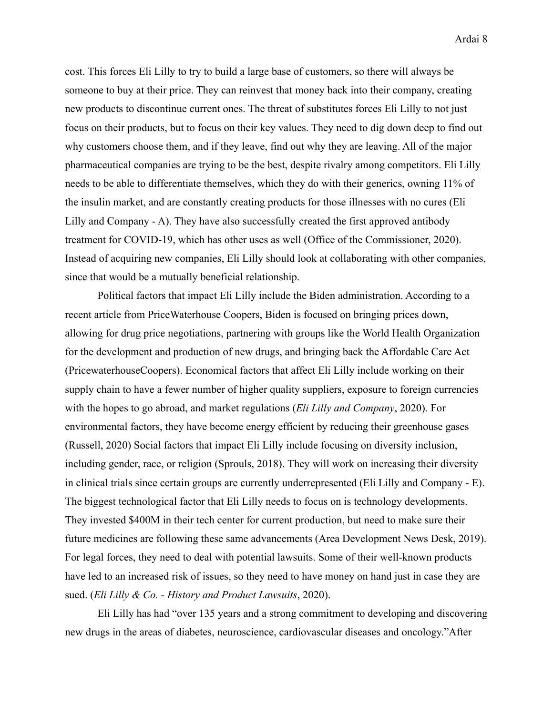cost. This forces Eli Lilly to try to build a large base of customers, so there will always be someone to buy at their price. They can reinvest that money back into their company, creating new products to discontinue current ones. The threat of substitutes forces Eli Lilly to not just focus on their products, but to focus on their key values. They need to dig down deep to find out why customers choose them, and if they leave, find out why they are leaving. All of the major pharmaceutical companies are trying to be the best, despite rivalry among competitors. Eli Lilly needs to be able to differentiate themselves, which they do with their generics, owning 11% of the insulin market, and are constantly creating products for those illnesses with no cures (Eli Lilly and Company - A). They have also successfully created the first approved antibody treatment for COVID-19, which has other uses as well (Office of the Commissioner, 2020). Instead of acquiring new companies, Eli Lilly should look at collaborating with other companies, since that would be a mutually beneficial relationship.

Political factors that impact Eli Lilly include the Biden administration. According to a recent article from PriceWaterhouse Coopers, Biden is focused on bringing prices down, allowing for drug price negotiations, partnering with groups like the World Health Organization for the development and production of new drugs, and bringing back the Affordable Care Act (PricewaterhouseCoopers). Economical factors that affect Eli Lilly include working on their supply chain to have a fewer number of higher quality suppliers, exposure to foreign currencies with the hopes to go abroad, and market regulations (*Eli Lilly and Company*, 2020). For environmental factors, they have become energy efficient by reducing their greenhouse gases (Russell, 2020) Social factors that impact Eli Lilly include focusing on diversity inclusion, including gender, race, or religion (Sprouls, 2018). They will work on increasing their diversity in clinical trials since certain groups are currently underrepresented (Eli Lilly and Company - E). The biggest technological factor that Eli Lilly needs to focus on is technology developments. They invested \$400M in their tech center for current production, but need to make sure their future medicines are following these same advancements (Area Development News Desk, 2019). For legal forces, they need to deal with potential lawsuits. Some of their well-known products have led to an increased risk of issues, so they need to have money on hand just in case they are sued. (*Eli Lilly & Co. - History and Product Lawsuits*, 2020).

Eli Lilly has had "over 135 years and a strong commitment to developing and discovering new drugs in the areas of diabetes, neuroscience, cardiovascular diseases and oncology."After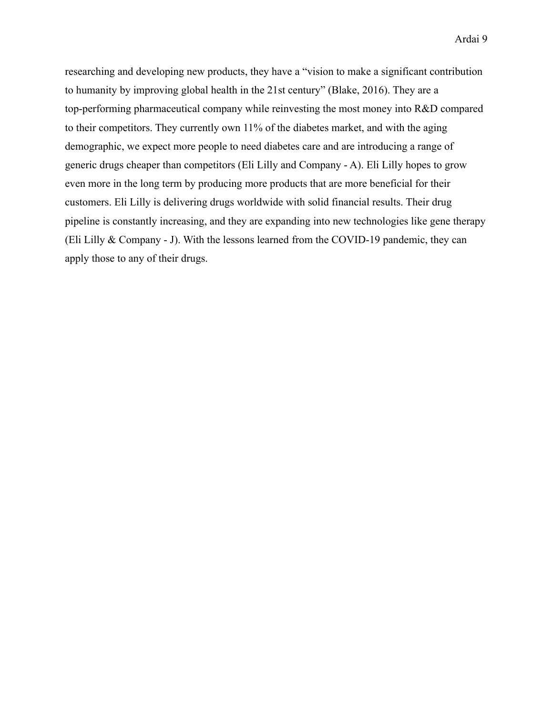researching and developing new products, they have a "vision to make a significant contribution to humanity by improving global health in the 21st century" (Blake, 2016). They are a top-performing pharmaceutical company while reinvesting the most money into R&D compared to their competitors. They currently own 11% of the diabetes market, and with the aging demographic, we expect more people to need diabetes care and are introducing a range of generic drugs cheaper than competitors (Eli Lilly and Company - A). Eli Lilly hopes to grow even more in the long term by producing more products that are more beneficial for their customers. Eli Lilly is delivering drugs worldwide with solid financial results. Their drug pipeline is constantly increasing, and they are expanding into new technologies like gene therapy (Eli Lilly & Company - J). With the lessons learned from the COVID-19 pandemic, they can apply those to any of their drugs.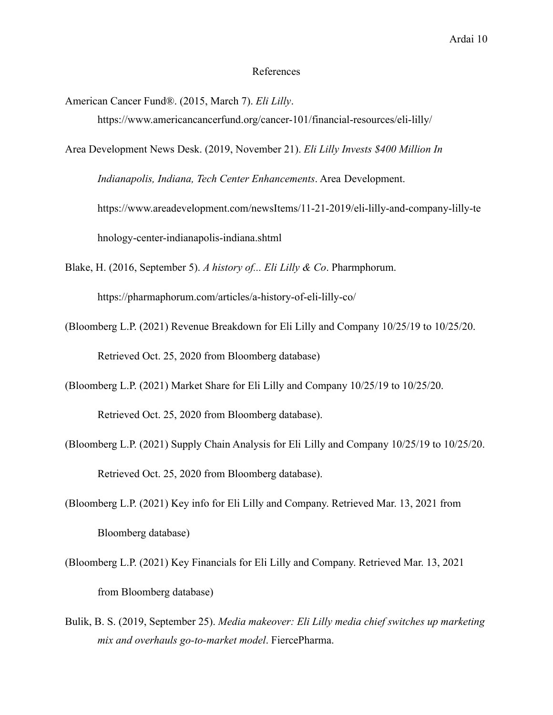#### References

American Cancer Fund®. (2015, March 7). *Eli Lilly*. https://www.americancancerfund.org/cancer-101/financial-resources/eli-lilly/

Area Development News Desk. (2019, November 21). *Eli Lilly Invests \$400 Million In Indianapolis, Indiana, Tech Center Enhancements*. Area Development. https://www.areadevelopment.com/newsItems/11-21-2019/eli-lilly-and-company-lilly-te hnology-center-indianapolis-indiana.shtml

Blake, H. (2016, September 5). *A history of... Eli Lilly & Co*. Pharmphorum. https://pharmaphorum.com/articles/a-history-of-eli-lilly-co/

- (Bloomberg L.P. (2021) Revenue Breakdown for Eli Lilly and Company 10/25/19 to 10/25/20. Retrieved Oct. 25, 2020 from Bloomberg database)
- (Bloomberg L.P. (2021) Market Share for Eli Lilly and Company 10/25/19 to 10/25/20. Retrieved Oct. 25, 2020 from Bloomberg database).
- (Bloomberg L.P. (2021) Supply Chain Analysis for Eli Lilly and Company 10/25/19 to 10/25/20. Retrieved Oct. 25, 2020 from Bloomberg database).
- (Bloomberg L.P. (2021) Key info for Eli Lilly and Company. Retrieved Mar. 13, 2021 from Bloomberg database)
- (Bloomberg L.P. (2021) Key Financials for Eli Lilly and Company. Retrieved Mar. 13, 2021 from Bloomberg database)
- Bulik, B. S. (2019, September 25). *Media makeover: Eli Lilly media chief switches up marketing mix and overhauls go-to-market model*. FiercePharma.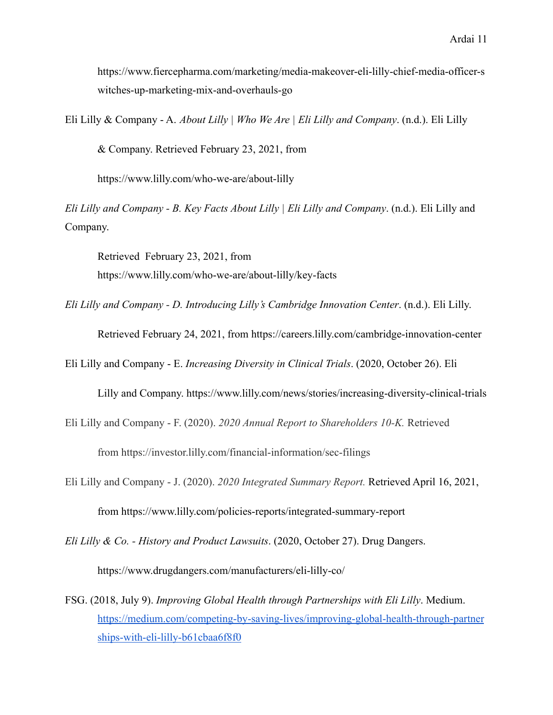https://www.fiercepharma.com/marketing/media-makeover-eli-lilly-chief-media-officer-s witches-up-marketing-mix-and-overhauls-go

Eli Lilly & Company - A. *About Lilly | Who We Are | Eli Lilly and Company*. (n.d.). Eli Lilly

& Company. Retrieved February 23, 2021, from

https://www.lilly.com/who-we-are/about-lilly

*Eli Lilly and Company - B. Key Facts About Lilly | Eli Lilly and Company*. (n.d.). Eli Lilly and Company.

Retrieved February 23, 2021, from https://www.lilly.com/who-we-are/about-lilly/key-facts

*Eli Lilly and Company - D. Introducing Lilly's Cambridge Innovation Center*. (n.d.). Eli Lilly.

Retrieved February 24, 2021, from https://careers.lilly.com/cambridge-innovation-center

Eli Lilly and Company - E. *Increasing Diversity in Clinical Trials*. (2020, October 26). Eli

Lilly and Company. https://www.lilly.com/news/stories/increasing-diversity-clinical-trials

- Eli Lilly and Company F. (2020). *2020 Annual Report to Shareholders 10-K.* Retrieved from https://investor.lilly.com/financial-information/sec-filings
- Eli Lilly and Company J. (2020). *2020 Integrated Summary Report.* Retrieved April 16, 2021, from https://www.lilly.com/policies-reports/integrated-summary-report
- *Eli Lilly & Co. History and Product Lawsuits*. (2020, October 27). Drug Dangers. https://www.drugdangers.com/manufacturers/eli-lilly-co/
- FSG. (2018, July 9). *Improving Global Health through Partnerships with Eli Lilly*. Medium. [https://medium.com/competing-by-saving-lives/improving-global-health-through-partner](https://medium.com/competing-by-saving-lives/improving-global-health-through-partnerships-with-eli-lilly-b61cbaa6f8f0) [ships-with-eli-lilly-b61cbaa6f8f0](https://medium.com/competing-by-saving-lives/improving-global-health-through-partnerships-with-eli-lilly-b61cbaa6f8f0)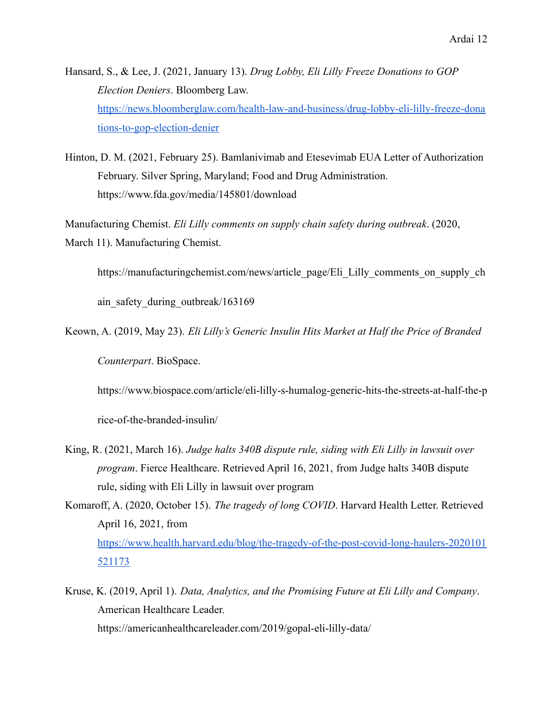Hansard, S., & Lee, J. (2021, January 13). *Drug Lobby, Eli Lilly Freeze Donations to GOP Election Deniers*. Bloomberg Law. [https://news.bloomberglaw.com/health-law-and-business/drug-lobby-eli-lilly-freeze-dona](https://news.bloomberglaw.com/health-law-and-business/drug-lobby-eli-lilly-freeze-donations-to-gop-election-deniers) [tions-to-gop-election-denier](https://news.bloomberglaw.com/health-law-and-business/drug-lobby-eli-lilly-freeze-donations-to-gop-election-deniers)

Hinton, D. M. (2021, February 25). Bamlanivimab and Etesevimab EUA Letter of Authorization February. Silver Spring, Maryland; Food and Drug Administration. https://www.fda.gov/media/145801/download

Manufacturing Chemist. *Eli Lilly comments on supply chain safety during outbreak*. (2020, March 11). Manufacturing Chemist.

https://manufacturingchemist.com/news/article\_page/Eli\_Lilly\_comments\_on\_supply\_ch

ain safety during outbreak/163169

Keown, A. (2019, May 23). *Eli Lilly's Generic Insulin Hits Market at Half the Price of Branded Counterpart*. BioSpace.

https://www.biospace.com/article/eli-lilly-s-humalog-generic-hits-the-streets-at-half-the-p

rice-of-the-branded-insulin/

- King, R. (2021, March 16). *Judge halts 340B dispute rule, siding with Eli Lilly in lawsuit over program*. Fierce Healthcare. Retrieved April 16, 2021, from Judge halts 340B dispute rule, siding with Eli Lilly in lawsuit over program
- Komaroff, A. (2020, October 15). *The tragedy of long COVID*. Harvard Health Letter. Retrieved April 16, 2021, from [https://www.health.harvard.edu/blog/the-tragedy-of-the-post-covid-long-haulers-2020101](https://www.health.harvard.edu/blog/the-tragedy-of-the-post-covid-long-haulers-2020101521173) [521173](https://www.health.harvard.edu/blog/the-tragedy-of-the-post-covid-long-haulers-2020101521173)
- Kruse, K. (2019, April 1). *Data, Analytics, and the Promising Future at Eli Lilly and Company*. American Healthcare Leader. https://americanhealthcareleader.com/2019/gopal-eli-lilly-data/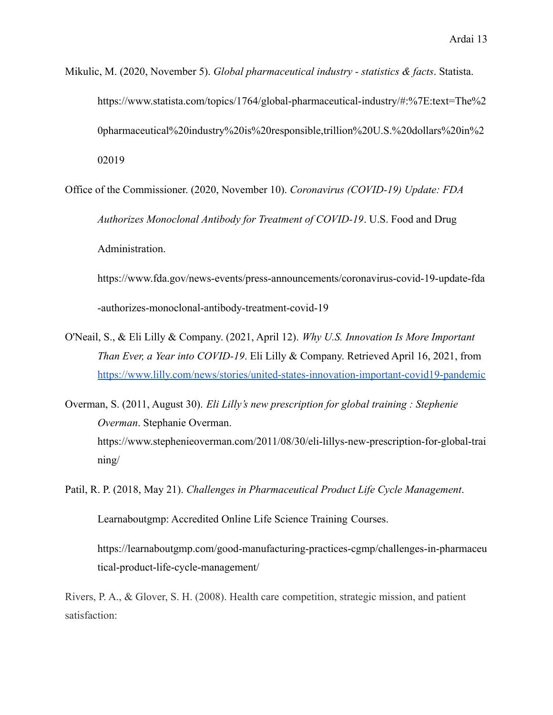- Mikulic, M. (2020, November 5). *Global pharmaceutical industry statistics & facts*. Statista. https://www.statista.com/topics/1764/global-pharmaceutical-industry/#:%7E:text=The%2 0pharmaceutical%20industry%20is%20responsible,trillion%20U.S.%20dollars%20in%2 02019
- Office of the Commissioner. (2020, November 10). *Coronavirus (COVID-19) Update: FDA Authorizes Monoclonal Antibody for Treatment of COVID-19*. U.S. Food and Drug Administration.

https://www.fda.gov/news-events/press-announcements/coronavirus-covid-19-update-fda -authorizes-monoclonal-antibody-treatment-covid-19

- O'Neail, S., & Eli Lilly & Company. (2021, April 12). *Why U.S. Innovation Is More Important Than Ever, a Year into COVID-19*. Eli Lilly & Company. Retrieved April 16, 2021, from <https://www.lilly.com/news/stories/united-states-innovation-important-covid19-pandemic>
- Overman, S. (2011, August 30). *Eli Lilly's new prescription for global training : Stephenie Overman*. Stephanie Overman. https://www.stephenieoverman.com/2011/08/30/eli-lillys-new-prescription-for-global-trai ning/
- Patil, R. P. (2018, May 21). *Challenges in Pharmaceutical Product Life Cycle Management*.

Learnaboutgmp: Accredited Online Life Science Training Courses.

https://learnaboutgmp.com/good-manufacturing-practices-cgmp/challenges-in-pharmaceu tical-product-life-cycle-management/

Rivers, P. A., & Glover, S. H. (2008). Health care competition, strategic mission, and patient satisfaction: